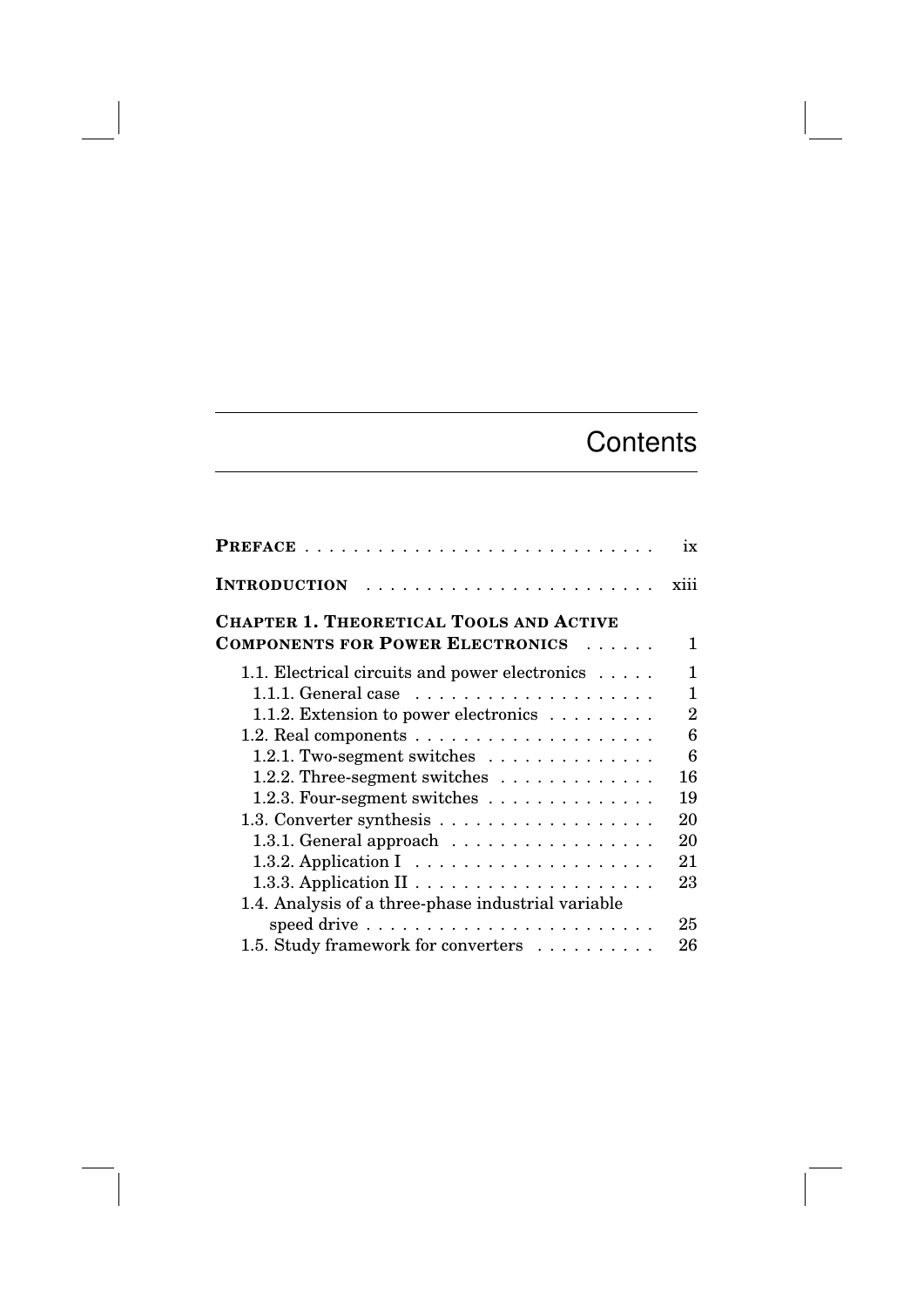## **Contents**

|                                                                     | ix             |
|---------------------------------------------------------------------|----------------|
| <b>INTRODUCTION</b>                                                 | xiii           |
| <b>CHAPTER 1. THEORETICAL TOOLS AND ACTIVE</b>                      |                |
| <b>COMPONENTS FOR POWER ELECTRONICS</b><br>$\cdots$                 | 1              |
| 1.1. Electrical circuits and power electronics                      | 1              |
| 1.1.1. General case $\ldots \ldots \ldots \ldots \ldots$            | 1              |
| 1.1.2. Extension to power electronics $\dots \dots$                 | $\overline{2}$ |
|                                                                     | 6              |
| 1.2.1. Two-segment switches                                         | 6              |
| 1.2.2. Three-segment switches                                       | 16             |
| 1.2.3. Four-segment switches                                        | 19             |
|                                                                     | 20             |
| 1.3.1. General approach                                             | 20             |
| 1.3.2. Application $I \dots \dots \dots \dots \dots \dots \dots$    | 21             |
|                                                                     | 23             |
| 1.4. Analysis of a three-phase industrial variable                  |                |
| speed drive $\dots \dots \dots \dots \dots \dots \dots \dots \dots$ | 25             |
| 1.5. Study framework for converters                                 | 26             |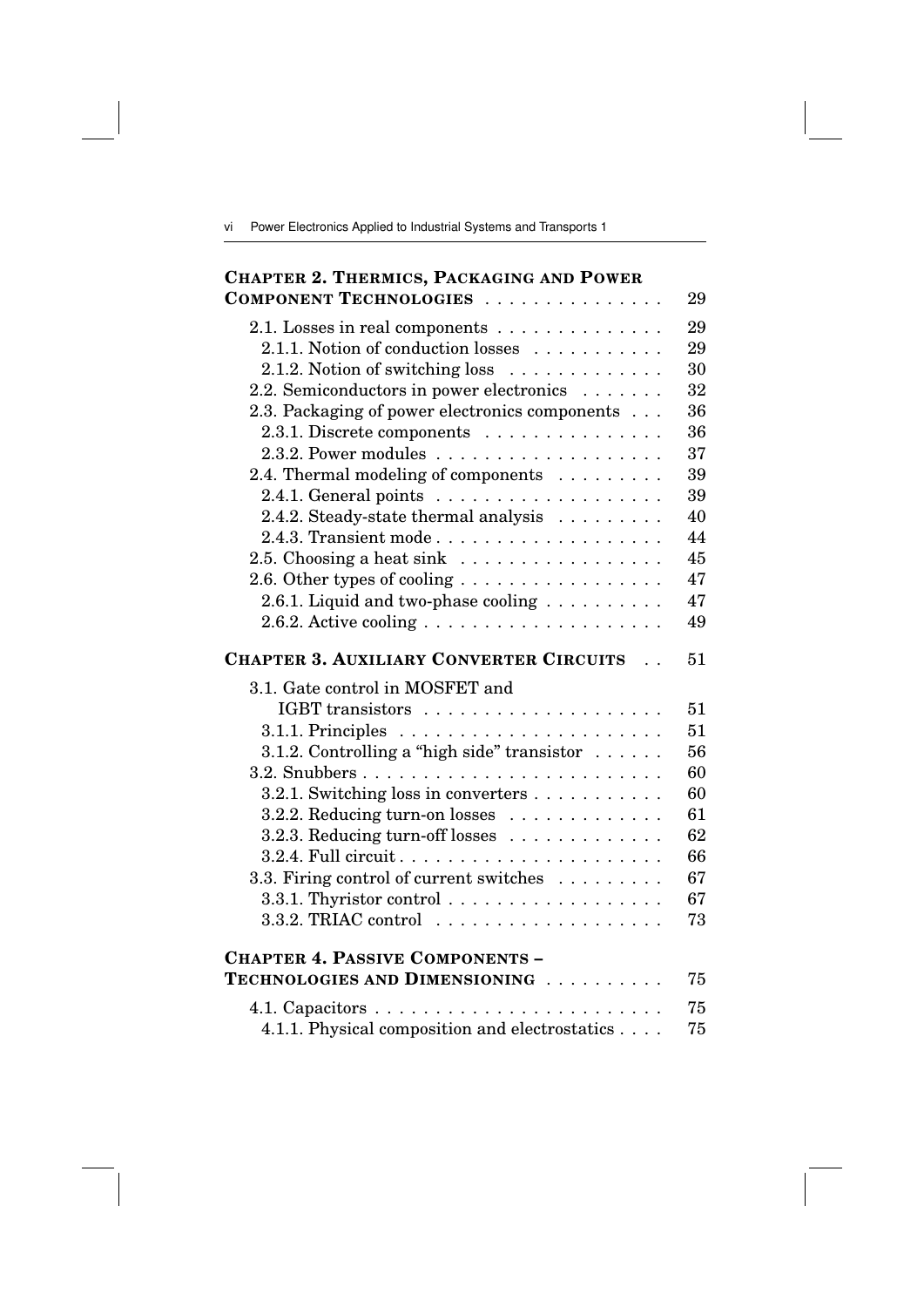vi Power Electronics Applied to Industrial Systems and Transports 1

| <b>CHAPTER 2. THERMICS, PACKAGING AND POWER</b>                         |
|-------------------------------------------------------------------------|
| COMPONENT TECHNOLOGIES<br>29                                            |
| 29<br>2.1. Losses in real components $\dots \dots \dots \dots$          |
| 2.1.1. Notion of conduction losses<br>29                                |
| 30<br>2.1.2. Notion of switching loss                                   |
| 2.2. Semiconductors in power electronics<br>32                          |
| 2.3. Packaging of power electronics components<br>36                    |
| $2.3.1.$ Discrete components $\dots \dots \dots \dots \dots$<br>36      |
| 37                                                                      |
| 2.4. Thermal modeling of components $\dots \dots$<br>39                 |
| 39                                                                      |
| 2.4.2. Steady-state thermal analysis<br>40                              |
| 44                                                                      |
| 2.5. Choosing a heat sink $\ldots \ldots \ldots \ldots \ldots$<br>45    |
| 47<br>2.6. Other types of cooling                                       |
| 2.6.1. Liquid and two-phase cooling $\ldots \ldots \ldots$<br>47        |
| 2.6.2. Active cooling $\ldots \ldots \ldots \ldots \ldots \ldots$<br>49 |
| <b>CHAPTER 3. AUXILIARY CONVERTER CIRCUITS</b><br>51<br>$\sim$          |
| 3.1. Gate control in MOSFET and                                         |
| 51                                                                      |
| 51                                                                      |
| 3.1.2. Controlling a "high side" transistor<br>56                       |
| 60                                                                      |
| 3.2.1. Switching loss in converters<br>60                               |
| 61<br>3.2.2. Reducing turn-on losses $\dots \dots \dots \dots$          |
| 3.2.3. Reducing turn-off losses<br>62                                   |
| 66                                                                      |
| 3.3. Firing control of current switches<br>67                           |
| 3.3.1. Thyristor control<br>67                                          |
| 73                                                                      |
| <b>CHAPTER 4. PASSIVE COMPONENTS -</b>                                  |
| TECHNOLOGIES AND DIMENSIONING<br>75                                     |
| 75                                                                      |
| 4.1.1. Physical composition and electrostatics<br>75                    |